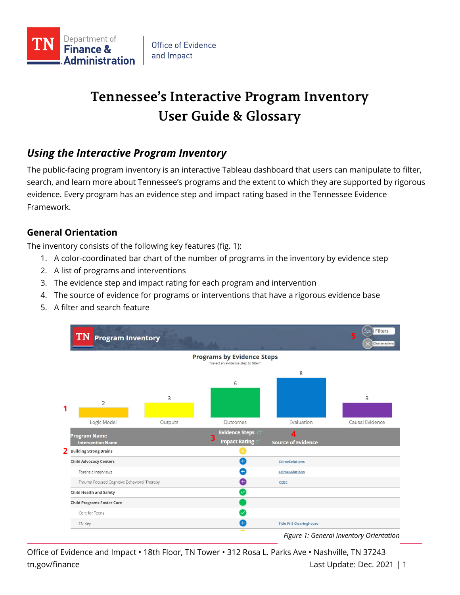

# **Tennessee's Interactive Program Inventory User Guide & Glossary**

# *Using the Interactive Program Inventory*

The public-facing program inventory is an interactive Tableau dashboard that users can manipulate to filter, search, and learn more about Tennessee's programs and the extent to which they are supported by rigorous evidence. Every program has an evidence step and impact rating based in the Tennessee Evidence Framework.

# **General Orientation**

The inventory consists of the following key features (fig. 1):

- 1. A color-coordinated bar chart of the number of programs in the inventory by evidence step
- 2. A list of programs and interventions
- 3. The evidence step and impact rating for each program and intervention
- 4. The source of evidence for programs or interventions that have a rigorous evidence base
- 5. A filter and search feature



Office of Evidence and Impact • 18th Floor, TN Tower • 312 Rosa L. Parks Ave • Nashville, TN 37243 tn.gov/finance Last Update: Dec. 2021 | 1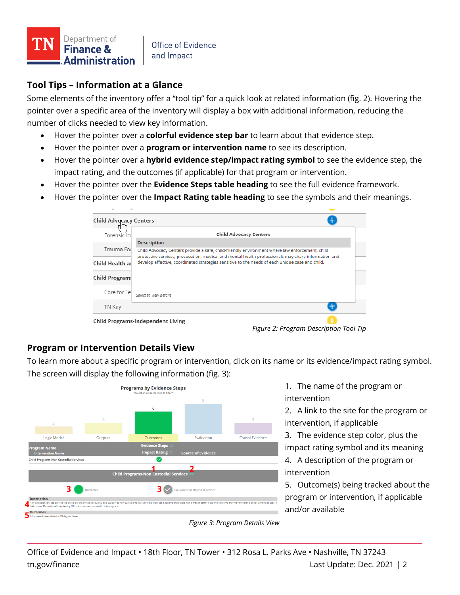

## **Tool Tips – Information at a Glance**

Some elements of the inventory offer a "tool tip" for a quick look at related information (fig. 2). Hovering the pointer over a specific area of the inventory will display a box with additional information, reducing the number of clicks needed to view key information.

- Hover the pointer over a **colorful evidence step bar** to learn about that evidence step.
- Hover the pointer over a **program or intervention name** to see its description.
- Hover the pointer over a **hybrid evidence step/impact rating symbol** to see the evidence step, the impact rating, and the outcomes (if applicable) for that program or intervention.
- Hover the pointer over the **Evidence Steps table heading** to see the full evidence framework.
- Hover the pointer over the **Impact Rating table heading** to see the symbols and their meanings.

| Child Advocacy Centers            |                                                                                                                                                                                                       |  |
|-----------------------------------|-------------------------------------------------------------------------------------------------------------------------------------------------------------------------------------------------------|--|
| Forensic Int                      | <b>Child Advocacy Centers</b>                                                                                                                                                                         |  |
|                                   | <b>Description</b>                                                                                                                                                                                    |  |
| Trauma For                        | Child Advocacy Centers provide a safe, child-friendly environment where law enforcement, child<br>protective services, prosecution, medical and mental health professionals may share information and |  |
| Child Health ar                   | develop effective, coordinated strategies sensitive to the needs of each unique case and child.                                                                                                       |  |
| <b>Child Programs</b>             |                                                                                                                                                                                                       |  |
| Core for Te                       | Select to view details                                                                                                                                                                                |  |
| TN Key                            |                                                                                                                                                                                                       |  |
| Child Programs-Independent Living |                                                                                                                                                                                                       |  |

*Figure 2: Program Description Tool Tip*

#### **Program or Intervention Details View**

To learn more about a specific program or intervention, click on its name or its evidence/impact rating symbol. The screen will display the following information (fig. 3):



1. The name of the program or intervention

2. A link to the site for the program or intervention, if applicable

3. The evidence step color, plus the impact rating symbol and its meaning

4. A description of the program or intervention

5. Outcome(s) being tracked about the program or intervention, if applicable and/or available

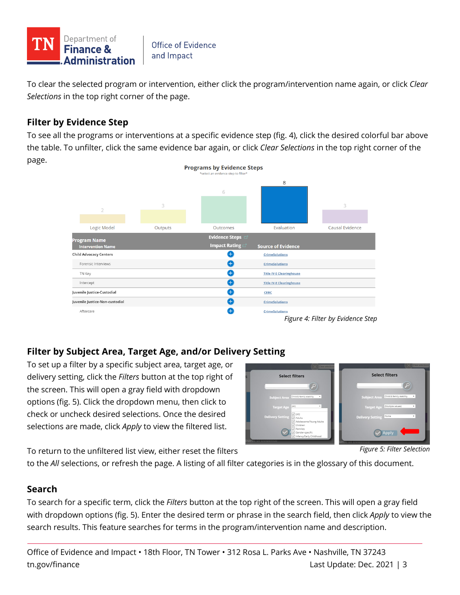

To clear the selected program or intervention, either click the program/intervention name again, or click *Clear Selections* in the top right corner of the page.

# **Filter by Evidence Step**

To see all the programs or interventions at a specific evidence step (fig. 4), click the desired colorful bar above the table. To unfilter, click the same evidence bar again, or click *Clear Selections* in the top right corner of the page.



# **Filter by Subject Area, Target Age, and/or Delivery Setting**

To set up a filter by a specific subject area, target age, or delivery setting, click the *Filters* button at the top right of the screen. This will open a gray field with dropdown options (fig. 5). Click the dropdown menu, then click to check or uncheck desired selections. Once the desired selections are made, click *Apply* to view the filtered list.



*Figure 5: Filter Selection*

To return to the unfiltered list view, either reset the filters

to the *All* selections, or refresh the page. A listing of all filter categories is in the glossary of this document.

# **Search**

To search for a specific term, click the *Filters* button at the top right of the screen. This will open a gray field with dropdown options (fig. 5). Enter the desired term or phrase in the search field, then click *Apply* to view the search results. This feature searches for terms in the program/intervention name and description.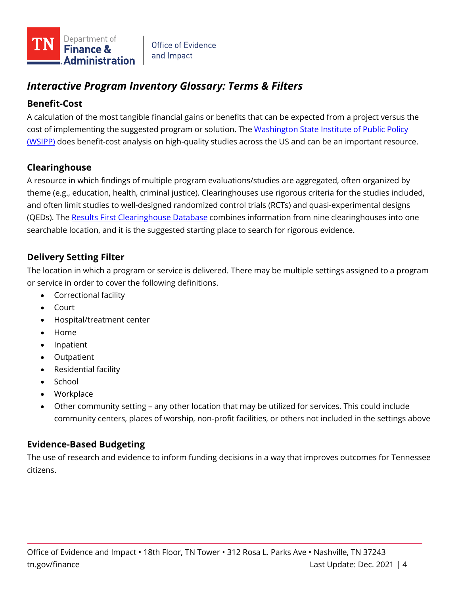

# *Interactive Program Inventory Glossary: Terms & Filters*

# **Benefit-Cost**

A calculation of the most tangible financial gains or benefits that can be expected from a project versus the cost of implementing the suggested program or solution. The Washington State Institute of Public Policy [\(WSIPP\)](https://www.wsipp.wa.gov/BenefitCost) does benefit-cost analysis on high-quality studies across the US and can be an important resource.

# **Clearinghouse**

A resource in which findings of multiple program evaluations/studies are aggregated, often organized by theme (e.g., education, health, criminal justice). Clearinghouses use rigorous criteria for the studies included, and often limit studies to well-designed randomized control trials (RCTs) and quasi-experimental designs (QEDs). The [Results First Clearinghouse Database](https://www.pewtrusts.org/en/research-and-analysis/data-visualizations/2015/results-first-clearinghouse-database) combines information from nine clearinghouses into one searchable location, and it is the suggested starting place to search for rigorous evidence.

# **Delivery Setting Filter**

The location in which a program or service is delivered. There may be multiple settings assigned to a program or service in order to cover the following definitions.

- Correctional facility
- Court
- Hospital/treatment center
- Home
- Inpatient
- Outpatient
- Residential facility
- School
- Workplace
- Other community setting any other location that may be utilized for services. This could include community centers, places of worship, non-profit facilities, or others not included in the settings above

# **Evidence-Based Budgeting**

The use of research and evidence to inform funding decisions in a way that improves outcomes for Tennessee citizens.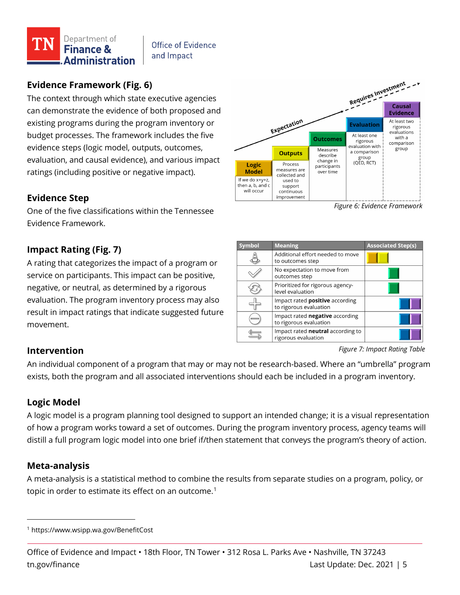

# **Evidence Framework (Fig. 6)**

The context through which state executive agencies can demonstrate the evidence of both proposed and existing programs during the program inventory or budget processes. The framework includes the five evidence steps (logic model, outputs, outcomes, evaluation, and causal evidence), and various impact ratings (including positive or negative impact).

#### **Evidence Step**

One of the five classifications within the Tennessee Evidence Framework.

#### **Impact Rating (Fig. 7)**

A rating that categorizes the impact of a program or service on participants. This impact can be positive, negative, or neutral, as determined by a rigorous evaluation. The program inventory process may also result in impact ratings that indicate suggested future movement.



*Figure 6: Evidence Framework*

| <b>Symbol</b> | <b>Meaning</b>                                                   | <b>Associated Step(s)</b> |
|---------------|------------------------------------------------------------------|---------------------------|
|               | Additional effort needed to move<br>to outcomes step             |                           |
|               | No expectation to move from<br>outcomes step                     |                           |
|               | Prioritized for rigorous agency-<br>level evaluation             |                           |
|               | Impact rated <b>positive</b> according<br>to rigorous evaluation |                           |
|               | Impact rated negative according<br>to rigorous evaluation        |                           |
|               | Impact rated neutral according to<br>rigorous evaluation         |                           |

*Figure 7: Impact Rating Table*

#### **Intervention**

An individual component of a program that may or may not be research-based. Where an "umbrella" program exists, both the program and all associated interventions should each be included in a program inventory.

#### **Logic Model**

A logic model is a program planning tool designed to support an intended change; it is a visual representation of how a program works toward a set of outcomes. During the program inventory process, agency teams will distill a full program logic model into one brief if/then statement that conveys the program's theory of action.

#### **Meta-analysis**

A meta-analysis is a statistical method to combine the results from separate studies on a program, policy, or topic in order to estimate its effect on an outcome. $^{\rm 1}$  $^{\rm 1}$  $^{\rm 1}$ 

<span id="page-4-0"></span><sup>1</sup> https://www.wsipp.wa.gov/BenefitCost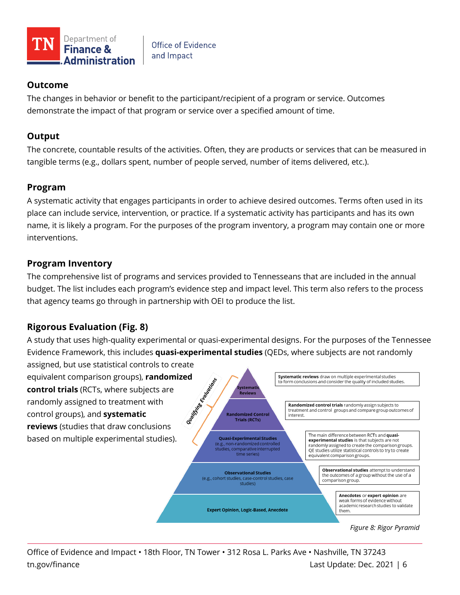

# **Outcome**

The changes in behavior or benefit to the participant/recipient of a program or service. Outcomes demonstrate the impact of that program or service over a specified amount of time.

## **Output**

The concrete, countable results of the activities. Often, they are products or services that can be measured in tangible terms (e.g., dollars spent, number of people served, number of items delivered, etc.).

## **Program**

A systematic activity that engages participants in order to achieve desired outcomes. Terms often used in its place can include service, intervention, or practice. If a systematic activity has participants and has its own name, it is likely a program. For the purposes of the program inventory, a program may contain one or more interventions.

## **Program Inventory**

The comprehensive list of programs and services provided to Tennesseans that are included in the annual budget. The list includes each program's evidence step and impact level. This term also refers to the process that agency teams go through in partnership with OEI to produce the list.

# **Rigorous Evaluation (Fig. 8)**

A study that uses high-quality experimental or quasi-experimental designs. For the purposes of the Tennessee Evidence Framework, this includes **quasi-experimental studies** (QEDs, where subjects are not randomly

assigned, but use statistical controls to create equivalent comparison groups), **randomized**<br> **control trials** (RCTs, where subjects are<br>
randomly assigned to treatment with<br>
control groups), and **systematic**<br>  $\begin{pmatrix} 0 & 0 \\ 0 & 0 \end{pmatrix}$ **control trials** (RCTs, where subjects are randomly assigned to treatment with control groups), and **systematic reviews** (studies that draw conclusions based on multiple experimental studies).



*Figure 8: Rigor Pyramid*